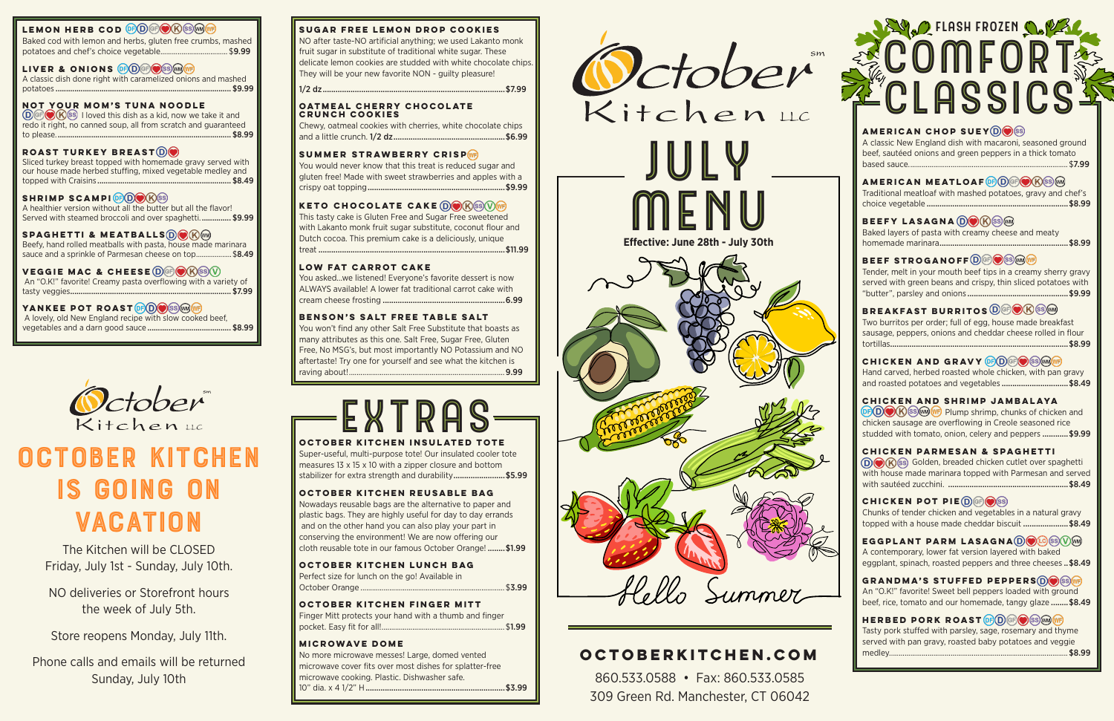**American Chop Suey**  A classic New England dish with macaroni, seasoned ground beef, sautéed onions and green peppers in a thick tomato based sauce................................................................................... \$7.99

**American Meatloaf**  Traditional meatloaf with mashed potatoes, gravy and chef's choice vegetable ..................................................................\$8.99

#### **Beefy Lasagna**

Baked layers of pasta with creamy cheese and meaty homemade marinara............................................................\$8.99

#### **BEEF STROGANOFF**<sup>DGP</sub></sup>

Hand carved, herbed roasted whole chicken, with pan gravy and roasted potatoes and vegetables .................................\$8.49

Tender, melt in your mouth beef tips in a creamy sherry gravy served with green beans and crispy, thin sliced potatoes with "butter", parsley and onions ...............................................\$9.99

#### **Breakfast Burritos**

Chunks of tender chicken and vegetables in a natural gravy topped with a house made cheddar biscuit ......................\$8.49

**EGGPLANT PARM LASAGNA DO GS VM** A contemporary, lower fat version layered with baked eggplant, spinach, roasted peppers and three cheeses .. \$8.49

Two burritos per order; full of egg, house made breakfast sausage, peppers, onions and cheddar cheese rolled in flour tortillas...................................................................................\$8.99

#### **CHICKEN AND GRAVY <b>OF D**GPO SS MOVE

GRANDMA'S STUFFED PEPPERS **DOS** SS WE An "O.K!" favorite! Sweet bell peppers loaded with ground beef, rice, tomato and our homemade, tangy glaze ........\$8.49

**HERBED PORK ROAST OF D GF O SS M WF** Tasty pork stuffed with parsley, sage, rosemary and thyme served with pan gravy, roasted baby potatoes and veggie medley............................................................................................. \$8.99

#### **Chicken and Shrimp Jambalaya**

 $\circ$  DO $\circ$  K ss m  $\circ$  Plump shrimp, chunks of chicken and chicken sausage are overflowing in Creole seasoned rice studded with tomato, onion, celery and peppers ............ \$9.99

#### **Chicken Parmesan & Spaghetti**

Golden, breaded chicken cutlet over spaghetti with house made marinara topped with Parmesan and served with sautéed zucchini. ........................................................\$8.49

#### **CHICKEN POT PIE DE OS**

 $\textcircled{D}$  (F)  $\textcircled{S}$  I loved this dish as a kid, now we take it and redo it right, no canned soup, all from scratch and guaranteed to please.................................................................................... \$8.99

#### **Sugar Free Lemon Drop Cookies**

A healthier version without all the butter but all the flavor! Served with steamed broccoli and over spaghetti................ \$9.99

NO after taste-NO artificial anything; we used Lakanto monk fruit sugar in substitute of traditional white sugar. These delicate lemon cookies are studded with white chocolate chips. They will be your new favorite NON - guilty pleasure!

Beefy, hand rolled meatballs with pasta, house made marinara sauce and a sprinkle of Parmesan cheese on top...................\$8.49 1/2 dz.....................................................................................\$7.99

#### **Oatmeal Cherry Chocolate Crunch Cookies**

Super-useful, multi-purpose tote! Our insulated cooler tote measures 13 x 15 x 10 with a zipper closure and bottom stabilizer for extra strength and durability.........................\$5.99

Chewy, oatmeal cookies with cherries, white chocolate chips and a little crunch. 1/2 dz....................................................\$6.99

#### **SUMMER STRAWBERRY CRISP**

You would never know that this treat is reduced sugar and gluten free! Made with sweet strawberries and apples with a crispy oat topping................................................................\$9.99

#### **KETO CHOCOLATE CAKE DO RSOWE**

This tasty cake is Gluten Free and Sugar Free sweetened with Lakanto monk fruit sugar substitute, coconut flour and Dutch cocoa. This premium cake is a deliciously, unique treat .......................................................................................\$11.99

### October Kitchen is Going on **VACATION**

#### **Low Fat Carrot Cake**

## **PELASH FROZEN COPEY** COMFORT CLASSICS

You asked…we listened! Everyone's favorite dessert is now ALWAYS available! A lower fat traditional carrot cake with cream cheese frosting .........................................................6.99

#### **Benson's Salt Free Table Salt**

You won't find any other Salt Free Substitute that boasts as many attributes as this one. Salt Free, Sugar Free, Gluten Free, No MSG's, but most importantly NO Potassium and NO aftertaste! Try one for yourself and see what the kitchen is raving about!.................................................................................9.99

#### **LEMON HERB COD <b>OD** COO COOKS

Baked cod with lemon and herbs, gluten free crumbs, mashed potatoes and chef's choice vegetable................................... \$9.99

#### **LIVER & ONIONS OF DEDOSS WINDER**

A classic dish done right with caramelized onions and mashed potatoes .................................................................................... \$9.99

#### **Not Your Mom's Tuna Noodle**

#### **Roast Turkey Breast**

Sliced turkey breast topped with homemade gravy served with our house made herbed stuffing, mixed vegetable medley and topped with Craisins ................................................................ \$8.49

#### SHRIMP SCAMPI<sup>**@O**<sup>*@*</sup></sup>

#### **Spaghetti & Meatballs**

#### **Veggie Mac & CHeese**

 An "O.K!" favorite! Creamy pasta overflowing with a variety of tasty veggies............................................................................. \$7.99

#### **YANKEE POT ROAST <b>OD** S W F

 A lovely, old New England recipe with slow cooked beef, vegetables and a darn good sauce ........................................ \$8.99



#### **October Kitchen Insulated Tote**

#### **October Kitchen Reusable Bag**

Nowadays reusable bags are the alternative to paper and plastic bags. They are highly useful for day to day errands and on the other hand you can also play your part in conserving the environment! We are now offering our cloth reusable tote in our famous October Orange! ........\$1.99

#### **October Kitchen Lunch Bag**

Perfect size for lunch on the go! Available in October Orange ........................................................................... \$3.99

#### **October Kitchen Finger Mitt**

Finger Mitt protects your hand with a thumb and finger pocket. Easy fit for all!................................................................ \$1.99

#### **Microwave Dome**

No more microwave messes! Large, domed vented microwave cover fits over most dishes for splatter-free microwave cooking. Plastic. Dishwasher safe. 10" dia. x 4 1/2" H.................................................................\$3.99

### **OctoberKitchen.com**

860.533.0588 • Fax: 860.533.0585 309 Green Rd. Manchester, CT 06042

The Kitchen will be CLOSED Friday, July 1st - Sunday, July 10th.

NO deliveries or Storefront hours the week of July 5th.

Store reopens Monday, July 11th.

Phone calls and emails will be returned Sunday, July 10th

## EXTRAS

**Effective: June 28th - July 30th**